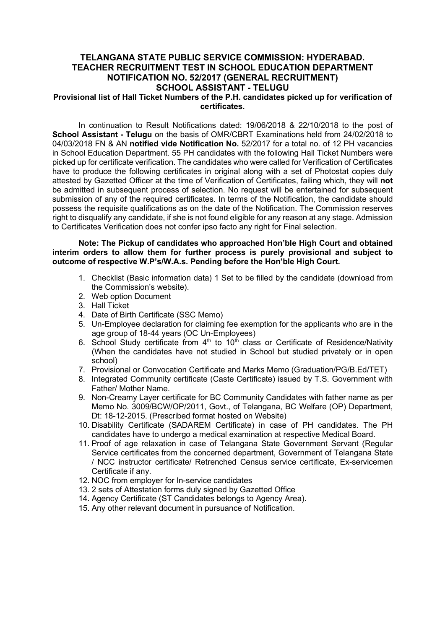# TELANGANA STATE PUBLIC SERVICE COMMISSION: HYDERABAD. TEACHER RECRUITMENT TEST IN SCHOOL EDUCATION DEPARTMENT NOTIFICATION NO. 52/2017 (GENERAL RECRUITMENT) SCHOOL ASSISTANT - TELUGU

## Provisional list of Hall Ticket Numbers of the P.H. candidates picked up for verification of certificates.

In continuation to Result Notifications dated: 19/06/2018 & 22/10/2018 to the post of School Assistant - Telugu on the basis of OMR/CBRT Examinations held from 24/02/2018 to 04/03/2018 FN & AN notified vide Notification No. 52/2017 for a total no. of 12 PH vacancies in School Education Department. 55 PH candidates with the following Hall Ticket Numbers were picked up for certificate verification. The candidates who were called for Verification of Certificates have to produce the following certificates in original along with a set of Photostat copies duly attested by Gazetted Officer at the time of Verification of Certificates, failing which, they will not be admitted in subsequent process of selection. No request will be entertained for subsequent submission of any of the required certificates. In terms of the Notification, the candidate should possess the requisite qualifications as on the date of the Notification. The Commission reserves right to disqualify any candidate, if she is not found eligible for any reason at any stage. Admission to Certificates Verification does not confer ipso facto any right for Final selection.

#### Note: The Pickup of candidates who approached Hon'ble High Court and obtained interim orders to allow them for further process is purely provisional and subject to outcome of respective W.P's/W.A.s. Pending before the Hon'ble High Court.

- 1. Checklist (Basic information data) 1 Set to be filled by the candidate (download from the Commission's website).
- 2. Web option Document
- 3. Hall Ticket
- 4. Date of Birth Certificate (SSC Memo)
- 5. Un-Employee declaration for claiming fee exemption for the applicants who are in the age group of 18-44 years (OC Un-Employees)
- 6. School Study certificate from  $4<sup>th</sup>$  to  $10<sup>th</sup>$  class or Certificate of Residence/Nativity (When the candidates have not studied in School but studied privately or in open school)
- 7. Provisional or Convocation Certificate and Marks Memo (Graduation/PG/B.Ed/TET)
- 8. Integrated Community certificate (Caste Certificate) issued by T.S. Government with Father/ Mother Name.
- 9. Non-Creamy Layer certificate for BC Community Candidates with father name as per Memo No. 3009/BCW/OP/2011, Govt., of Telangana, BC Welfare (OP) Department, Dt: 18-12-2015. (Prescribed format hosted on Website)
- 10. Disability Certificate (SADAREM Certificate) in case of PH candidates. The PH candidates have to undergo a medical examination at respective Medical Board.
- 11. Proof of age relaxation in case of Telangana State Government Servant (Regular Service certificates from the concerned department, Government of Telangana State / NCC instructor certificate/ Retrenched Census service certificate, Ex-servicemen Certificate if any.
- 12. NOC from employer for In-service candidates
- 13. 2 sets of Attestation forms duly signed by Gazetted Office
- 14. Agency Certificate (ST Candidates belongs to Agency Area).
- 15. Any other relevant document in pursuance of Notification.